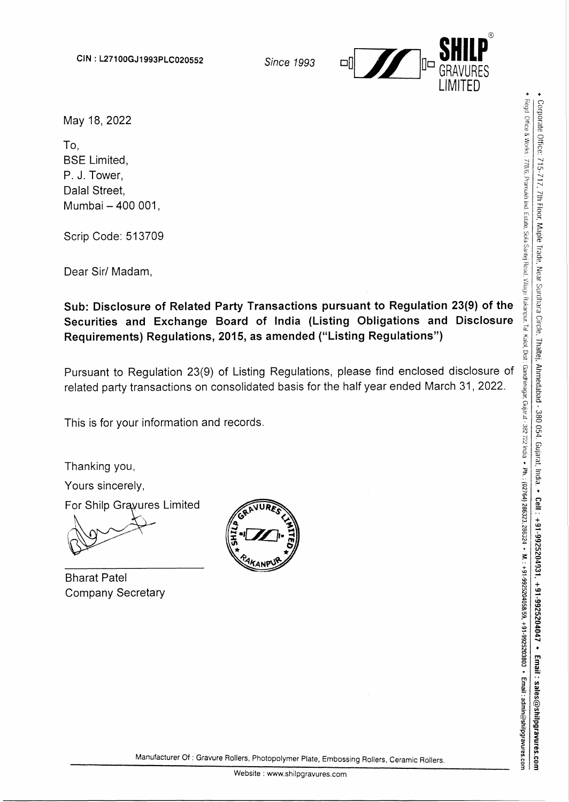

May 18, 2022

To, BSE Limited, P. J. Tower, Dalal Street, Mumbai - 400 001,

Scrip Code: 513709

Dear Sir/ Madam,

**Sub: Disclosure of Related Party Transactions pursuant to Regulation 23(9) of the Securities and Exchange Board of India (Listing Obligations and Disclosure Requirements) Regulations, 2015, as amended ("Listing Regulations")** 

Pursuant to Regulation 23(9) of Listing Regulations, please find enclosed disclosure of related party transactions on consolidated basis for the half year ended March 31, 2022.

This is for your information and records.

Thanking you, Yours sincerely, For Shilp Grayures Limited

Bharat Patel Company Secretary



 $\ddot{\bullet}$   $\ddot{\bullet}$ 

 $\frac{1}{2}$  :  $\frac{1}{2}$ 

5-717, 7th<br><sup>3/6, Pramukh I</sup> ·°'

Manufacturer Of: Gravure Rollers, Photopolymer Plate, Embossing Rollers, Ceramic Rollers.

Website : www.shilpgravures.com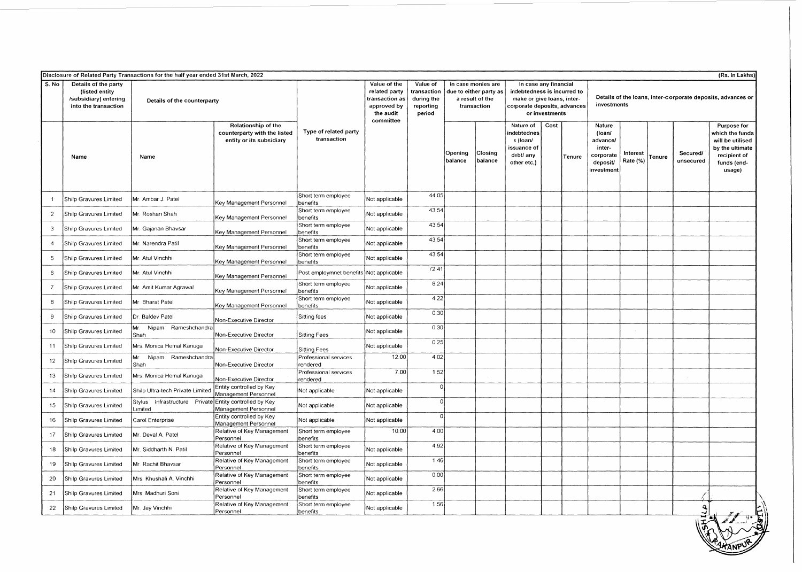|                 |                                                                                         | Disclosure of Related Party Transactions for the half year ended 31st March, 2022 |                                                                                 |                                      |                                                                                          |                                                              |                                                                                |                    |                                                                                                                                      |      |        |                                                                               |                      |        |                       | (Rs. In Lakhs)                                                                                                 |  |
|-----------------|-----------------------------------------------------------------------------------------|-----------------------------------------------------------------------------------|---------------------------------------------------------------------------------|--------------------------------------|------------------------------------------------------------------------------------------|--------------------------------------------------------------|--------------------------------------------------------------------------------|--------------------|--------------------------------------------------------------------------------------------------------------------------------------|------|--------|-------------------------------------------------------------------------------|----------------------|--------|-----------------------|----------------------------------------------------------------------------------------------------------------|--|
| S. No           | Details of the party<br>(listed entity<br>/subsidiary) entering<br>into the transaction | Details of the counterparty                                                       |                                                                                 |                                      | Value of the<br>related party<br>transaction as<br>approved by<br>the audit<br>committee | Value of<br>transaction<br>during the<br>reporting<br>period | In case monies are<br>due to either party as<br>a result of the<br>transaction |                    | In case any financial<br>indebtedness is incurred to<br>make or give loans, inter-<br>corporate deposits, advances<br>or investments |      |        | Details of the loans, inter-corporate deposits, advances or<br>investments    |                      |        |                       |                                                                                                                |  |
|                 | Name                                                                                    | Name                                                                              | Relationship of the<br>counterparty with the listed<br>entity or its subsidiary | Type of related party<br>transaction |                                                                                          |                                                              | Opening<br>balance                                                             | Closing<br>balance | Nature of<br>indebtednes<br>s (loan/<br>issuance of<br>debt/ any<br>other etc.)                                                      | Cost | Tenure | Nature<br>(loan/<br>advance/<br>inter-<br>corporate<br>deposit/<br>investment | Interest<br>Rate (%) | Tenure | Secured/<br>unsecured | Purpose for<br>which the funds<br>will be utilised<br>by the ultimate<br>recipient of<br>funds (end-<br>usage) |  |
|                 | Shilp Gravures Limited                                                                  | Mr. Ambar J. Patel                                                                | Key Management Personnel                                                        | Short term employee<br>penefits      | Not applicable                                                                           | 44.05                                                        |                                                                                |                    |                                                                                                                                      |      |        |                                                                               |                      |        |                       |                                                                                                                |  |
| $\overline{2}$  | Shilp Gravures Limited                                                                  | Mr. Roshan Shah                                                                   | Key Management Personnel                                                        | Short term employee<br>benefits      | Not applicable                                                                           | 43.54                                                        |                                                                                |                    |                                                                                                                                      |      |        |                                                                               |                      |        |                       |                                                                                                                |  |
| 3               | Shilp Gravures Limited                                                                  | Mr. Gajanan Bhavsar                                                               | Key Management Personnel                                                        | Short term employee<br>benefits      | Not applicable                                                                           | 43.54                                                        |                                                                                |                    |                                                                                                                                      |      |        |                                                                               |                      |        |                       |                                                                                                                |  |
| $\overline{4}$  | Shilp Gravures Limited                                                                  | Mr. Narendra Patil                                                                | Key Management Personnel                                                        | Short term employee<br>benefits      | Not applicable                                                                           | 43.54                                                        |                                                                                |                    |                                                                                                                                      |      |        |                                                                               |                      |        |                       |                                                                                                                |  |
| 5               | Shilp Gravures Limited                                                                  | Mr. Atul Vinchhi                                                                  | Key Management Personnel                                                        | Short term employee<br>benefits      | Not applicable                                                                           | 43.54                                                        |                                                                                |                    |                                                                                                                                      |      |        |                                                                               |                      |        |                       |                                                                                                                |  |
| 6               | Shilp Gravures Limited                                                                  | Mr. Atul Vinchhi                                                                  | Key Management Personnel                                                        | Post employmnet benefits             | Not applicable                                                                           | 72.41                                                        |                                                                                |                    |                                                                                                                                      |      |        |                                                                               |                      |        |                       |                                                                                                                |  |
| $\overline{7}$  | Shilp Gravures Limited                                                                  | Mr. Amit Kumar Agrawal                                                            | Key Management Personnel                                                        | Short term employee<br>benefits      | Not applicable                                                                           | 8.24                                                         |                                                                                |                    |                                                                                                                                      |      |        |                                                                               |                      |        |                       |                                                                                                                |  |
| 8               | Shilp Gravures Limited                                                                  | Mr. Bharat Patel                                                                  | Key Management Personnel                                                        | Short term employee<br>benefits      | Not applicable                                                                           | 4.22                                                         |                                                                                |                    |                                                                                                                                      |      |        |                                                                               |                      |        |                       |                                                                                                                |  |
| 9               | Shilp Gravures Limited                                                                  | Dr. Baldev Patel                                                                  | Non-Executive Director                                                          | Sitting fees                         | Not applicable                                                                           | 0.30                                                         |                                                                                |                    |                                                                                                                                      |      |        |                                                                               |                      |        |                       |                                                                                                                |  |
| 10 <sub>1</sub> | Shilp Gravures Limited                                                                  | Mr.<br>Nipam Rameshchandra<br>Shah                                                | Non-Executive Director                                                          | <b>Sitting Fees</b>                  | Not applicable                                                                           | 0.30                                                         |                                                                                |                    |                                                                                                                                      |      |        |                                                                               |                      |        |                       |                                                                                                                |  |
| 11              | Shilp Gravures Limited                                                                  | Mrs. Monica Hemal Kanuga                                                          | Non-Executive Director                                                          | <b>Sitting Fees</b>                  | Not applicable                                                                           | 0.25                                                         |                                                                                |                    |                                                                                                                                      |      |        |                                                                               |                      |        |                       |                                                                                                                |  |
| 12              | Shilp Gravures Limited                                                                  | Mr. Nipam Rameshchandra<br>Shah                                                   | Non-Executive Director                                                          | Professional services<br>rendered    | 12.00                                                                                    | 4.02                                                         |                                                                                |                    |                                                                                                                                      |      |        |                                                                               |                      |        |                       |                                                                                                                |  |
| 13              | Shilp Gravures Limited                                                                  | Mrs. Monica Hemal Kanuga                                                          | Non-Executive Director                                                          | Professional services<br>rendered    | 7.00                                                                                     | 1.52                                                         |                                                                                |                    |                                                                                                                                      |      |        |                                                                               |                      |        |                       |                                                                                                                |  |
| 14              | Shilp Gravures Limited                                                                  | Shilp Ultra-tech Private Limited                                                  | Entity controlled by Key<br>Management Personnel                                | Not applicable                       | Not applicable                                                                           | $\mathbf 0$                                                  |                                                                                |                    |                                                                                                                                      |      |        |                                                                               |                      |        |                       |                                                                                                                |  |
| 15              | Shilp Gravures Limited                                                                  | Stylus<br>Limited                                                                 | Infrastructure Private Entity controlled by Key<br>Management Personnel         | Not applicable                       | Not applicable                                                                           | $\Omega$                                                     |                                                                                |                    |                                                                                                                                      |      |        |                                                                               |                      |        |                       |                                                                                                                |  |
| 16              | Shilp Gravures Limited                                                                  | Carol Enterprise                                                                  | Entity controlled by Key<br>Management Personnel                                | Not applicable                       | Not applicable                                                                           | $\Omega$                                                     |                                                                                |                    |                                                                                                                                      |      |        |                                                                               |                      |        |                       |                                                                                                                |  |
| 17              | Shilp Gravures Limited                                                                  | Mr. Deval A. Patel                                                                | Relative of Key Management<br>Personnel                                         | Short term employee<br>benefits      | 10.00                                                                                    | 4.00                                                         |                                                                                |                    |                                                                                                                                      |      |        |                                                                               |                      |        |                       |                                                                                                                |  |
| 18              | Shilp Gravures Limited                                                                  | Mr. Siddharth N. Patil                                                            | Relative of Key Management<br>Personnel                                         | Short term employee<br>benefits      | Not applicable                                                                           | 4.92                                                         |                                                                                |                    |                                                                                                                                      |      |        |                                                                               |                      |        |                       |                                                                                                                |  |
| 19              | Shilp Gravures Limited                                                                  | Mr. Rachit Bhavsar                                                                | Relative of Key Management<br>Personnel                                         | Short term employee<br>benefits      | Not applicable                                                                           | 1.46                                                         |                                                                                |                    |                                                                                                                                      |      |        |                                                                               |                      |        |                       |                                                                                                                |  |
| 20              | Shilp Gravures Limited                                                                  | Mrs Khushali A. Vinchhi                                                           | Relative of Key Management<br>Personnel                                         | Short term employee<br>benefits      | Not applicable                                                                           | 0.00                                                         |                                                                                |                    |                                                                                                                                      |      |        |                                                                               |                      |        |                       |                                                                                                                |  |
| 21              | Shilp Gravures Limited                                                                  | Mrs. Madhuri Soni                                                                 | Relative of Key Management<br>Personnel                                         | Short term employee<br>benefits      | Not applicable                                                                           | 2.66                                                         |                                                                                |                    |                                                                                                                                      |      |        |                                                                               |                      |        |                       |                                                                                                                |  |
| 22              | Shilp Gravures Limited                                                                  | Mr. Jay Vinchhi                                                                   | Relative of Key Management<br>Personnel                                         | Short term employee<br>benefits      | Not applicable                                                                           | 1.56                                                         |                                                                                |                    |                                                                                                                                      |      |        |                                                                               |                      |        |                       |                                                                                                                |  |
|                 |                                                                                         |                                                                                   |                                                                                 |                                      |                                                                                          |                                                              |                                                                                |                    |                                                                                                                                      |      |        |                                                                               |                      |        |                       | $\frac{3}{5}$                                                                                                  |  |

~